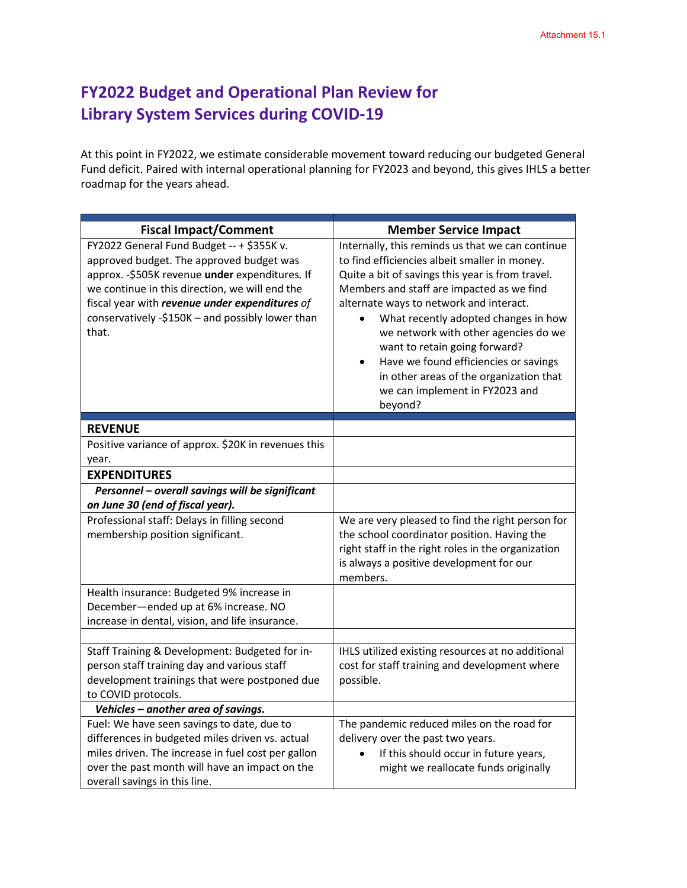## **FY2022 Budget and Operational Plan Review for Library System Services during COVID-19**

At this point in FY2022, we estimate considerable movement toward reducing our budgeted General Fund deficit. Paired with internal operational planning for FY2023 and beyond, this gives IHLS a better roadmap for the years ahead.

| <b>Fiscal Impact/Comment</b>                                                                                                                                                                                                                                                                              | <b>Member Service Impact</b>                                                                                                                                                                                                                                                                                                                                                                                                                                                                                 |
|-----------------------------------------------------------------------------------------------------------------------------------------------------------------------------------------------------------------------------------------------------------------------------------------------------------|--------------------------------------------------------------------------------------------------------------------------------------------------------------------------------------------------------------------------------------------------------------------------------------------------------------------------------------------------------------------------------------------------------------------------------------------------------------------------------------------------------------|
| FY2022 General Fund Budget -- + \$355K v.<br>approved budget. The approved budget was<br>approx. - \$505K revenue under expenditures. If<br>we continue in this direction, we will end the<br>fiscal year with revenue under expenditures of<br>conservatively -\$150K - and possibly lower than<br>that. | Internally, this reminds us that we can continue<br>to find efficiencies albeit smaller in money.<br>Quite a bit of savings this year is from travel.<br>Members and staff are impacted as we find<br>alternate ways to network and interact.<br>What recently adopted changes in how<br>we network with other agencies do we<br>want to retain going forward?<br>Have we found efficiencies or savings<br>$\bullet$<br>in other areas of the organization that<br>we can implement in FY2023 and<br>beyond? |
| <b>REVENUE</b>                                                                                                                                                                                                                                                                                            |                                                                                                                                                                                                                                                                                                                                                                                                                                                                                                              |
| Positive variance of approx. \$20K in revenues this<br>year.                                                                                                                                                                                                                                              |                                                                                                                                                                                                                                                                                                                                                                                                                                                                                                              |
| <b>EXPENDITURES</b>                                                                                                                                                                                                                                                                                       |                                                                                                                                                                                                                                                                                                                                                                                                                                                                                                              |
| Personnel - overall savings will be significant                                                                                                                                                                                                                                                           |                                                                                                                                                                                                                                                                                                                                                                                                                                                                                                              |
| on June 30 (end of fiscal year).                                                                                                                                                                                                                                                                          |                                                                                                                                                                                                                                                                                                                                                                                                                                                                                                              |
| Professional staff: Delays in filling second<br>membership position significant.                                                                                                                                                                                                                          | We are very pleased to find the right person for<br>the school coordinator position. Having the<br>right staff in the right roles in the organization<br>is always a positive development for our<br>members.                                                                                                                                                                                                                                                                                                |
| Health insurance: Budgeted 9% increase in<br>December-ended up at 6% increase. NO<br>increase in dental, vision, and life insurance.                                                                                                                                                                      |                                                                                                                                                                                                                                                                                                                                                                                                                                                                                                              |
|                                                                                                                                                                                                                                                                                                           |                                                                                                                                                                                                                                                                                                                                                                                                                                                                                                              |
| Staff Training & Development: Budgeted for in-<br>person staff training day and various staff<br>development trainings that were postponed due<br>to COVID protocols.                                                                                                                                     | IHLS utilized existing resources at no additional<br>cost for staff training and development where<br>possible.                                                                                                                                                                                                                                                                                                                                                                                              |
| Vehicles - another area of savings.                                                                                                                                                                                                                                                                       |                                                                                                                                                                                                                                                                                                                                                                                                                                                                                                              |
| Fuel: We have seen savings to date, due to<br>differences in budgeted miles driven vs. actual<br>miles driven. The increase in fuel cost per gallon<br>over the past month will have an impact on the<br>overall savings in this line.                                                                    | The pandemic reduced miles on the road for<br>delivery over the past two years.<br>If this should occur in future years,<br>might we reallocate funds originally                                                                                                                                                                                                                                                                                                                                             |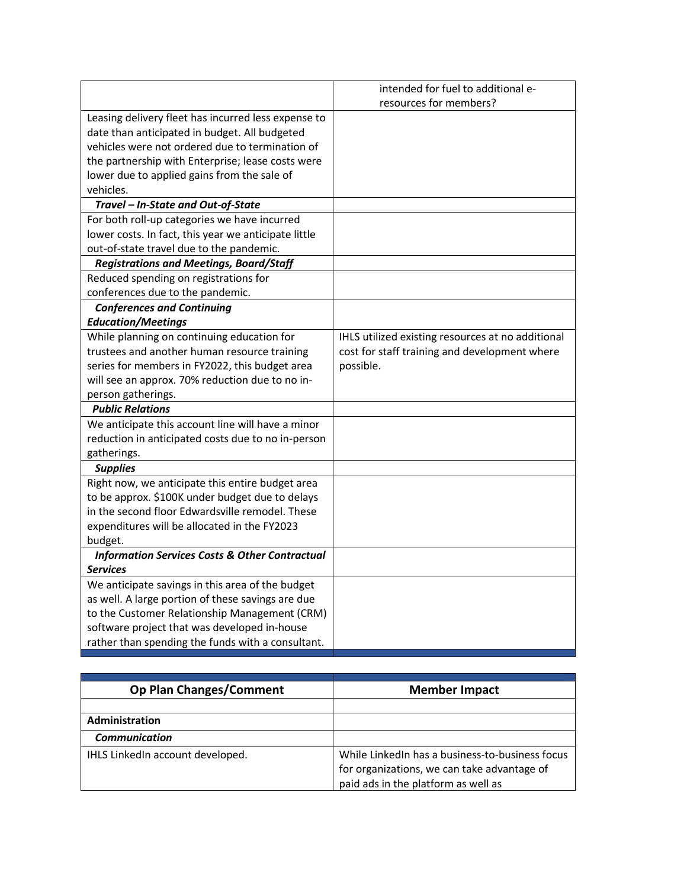|                                                           | intended for fuel to additional e-                |
|-----------------------------------------------------------|---------------------------------------------------|
|                                                           | resources for members?                            |
| Leasing delivery fleet has incurred less expense to       |                                                   |
| date than anticipated in budget. All budgeted             |                                                   |
| vehicles were not ordered due to termination of           |                                                   |
| the partnership with Enterprise; lease costs were         |                                                   |
| lower due to applied gains from the sale of               |                                                   |
| vehicles.                                                 |                                                   |
| Travel - In-State and Out-of-State                        |                                                   |
| For both roll-up categories we have incurred              |                                                   |
| lower costs. In fact, this year we anticipate little      |                                                   |
| out-of-state travel due to the pandemic.                  |                                                   |
| <b>Registrations and Meetings, Board/Staff</b>            |                                                   |
| Reduced spending on registrations for                     |                                                   |
| conferences due to the pandemic.                          |                                                   |
| <b>Conferences and Continuing</b>                         |                                                   |
| <b>Education/Meetings</b>                                 |                                                   |
| While planning on continuing education for                | IHLS utilized existing resources at no additional |
| trustees and another human resource training              | cost for staff training and development where     |
| series for members in FY2022, this budget area            | possible.                                         |
| will see an approx. 70% reduction due to no in-           |                                                   |
| person gatherings.                                        |                                                   |
| <b>Public Relations</b>                                   |                                                   |
| We anticipate this account line will have a minor         |                                                   |
| reduction in anticipated costs due to no in-person        |                                                   |
| gatherings.                                               |                                                   |
| <b>Supplies</b>                                           |                                                   |
| Right now, we anticipate this entire budget area          |                                                   |
| to be approx. \$100K under budget due to delays           |                                                   |
| in the second floor Edwardsville remodel. These           |                                                   |
| expenditures will be allocated in the FY2023              |                                                   |
| budget.                                                   |                                                   |
| <b>Information Services Costs &amp; Other Contractual</b> |                                                   |
| <b>Services</b>                                           |                                                   |
| We anticipate savings in this area of the budget          |                                                   |
| as well. A large portion of these savings are due         |                                                   |
| to the Customer Relationship Management (CRM)             |                                                   |
| software project that was developed in-house              |                                                   |
| rather than spending the funds with a consultant.         |                                                   |

| <b>Op Plan Changes/Comment</b>   | <b>Member Impact</b>                                                                                                                  |
|----------------------------------|---------------------------------------------------------------------------------------------------------------------------------------|
|                                  |                                                                                                                                       |
| Administration                   |                                                                                                                                       |
| <b>Communication</b>             |                                                                                                                                       |
| IHLS LinkedIn account developed. | While LinkedIn has a business-to-business focus<br>for organizations, we can take advantage of<br>paid ads in the platform as well as |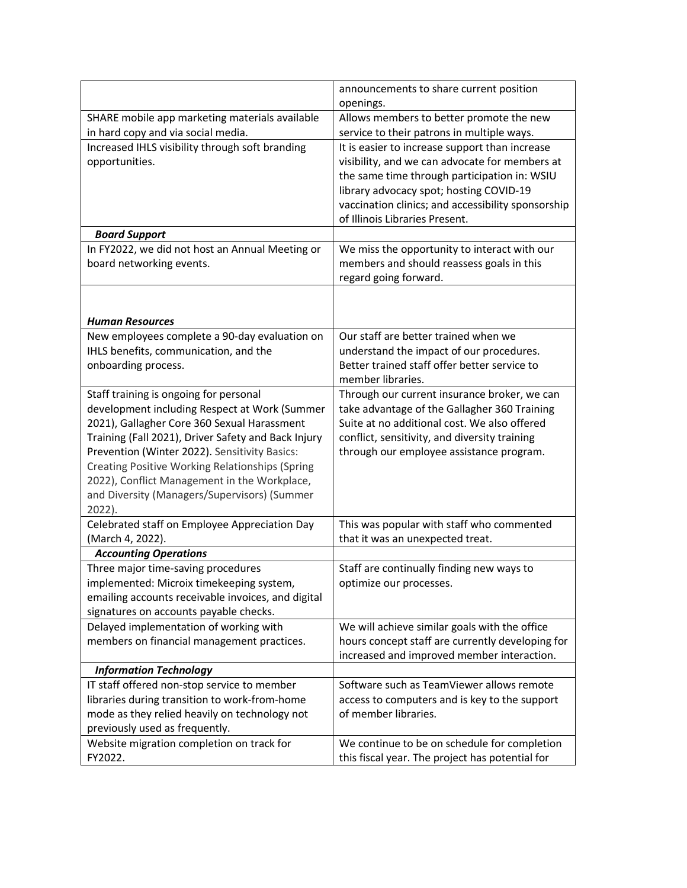|                                                                                                                                                                                                                                                                          | announcements to share current position<br>openings.                                                                                                                                                                                                                |
|--------------------------------------------------------------------------------------------------------------------------------------------------------------------------------------------------------------------------------------------------------------------------|---------------------------------------------------------------------------------------------------------------------------------------------------------------------------------------------------------------------------------------------------------------------|
| SHARE mobile app marketing materials available                                                                                                                                                                                                                           | Allows members to better promote the new                                                                                                                                                                                                                            |
| in hard copy and via social media.                                                                                                                                                                                                                                       | service to their patrons in multiple ways.                                                                                                                                                                                                                          |
| Increased IHLS visibility through soft branding                                                                                                                                                                                                                          | It is easier to increase support than increase                                                                                                                                                                                                                      |
| opportunities.                                                                                                                                                                                                                                                           | visibility, and we can advocate for members at                                                                                                                                                                                                                      |
|                                                                                                                                                                                                                                                                          | the same time through participation in: WSIU                                                                                                                                                                                                                        |
|                                                                                                                                                                                                                                                                          | library advocacy spot; hosting COVID-19                                                                                                                                                                                                                             |
|                                                                                                                                                                                                                                                                          | vaccination clinics; and accessibility sponsorship                                                                                                                                                                                                                  |
|                                                                                                                                                                                                                                                                          | of Illinois Libraries Present.                                                                                                                                                                                                                                      |
| <b>Board Support</b>                                                                                                                                                                                                                                                     |                                                                                                                                                                                                                                                                     |
| In FY2022, we did not host an Annual Meeting or                                                                                                                                                                                                                          | We miss the opportunity to interact with our                                                                                                                                                                                                                        |
| board networking events.                                                                                                                                                                                                                                                 | members and should reassess goals in this<br>regard going forward.                                                                                                                                                                                                  |
|                                                                                                                                                                                                                                                                          |                                                                                                                                                                                                                                                                     |
|                                                                                                                                                                                                                                                                          |                                                                                                                                                                                                                                                                     |
| <b>Human Resources</b>                                                                                                                                                                                                                                                   |                                                                                                                                                                                                                                                                     |
| New employees complete a 90-day evaluation on                                                                                                                                                                                                                            | Our staff are better trained when we                                                                                                                                                                                                                                |
| IHLS benefits, communication, and the                                                                                                                                                                                                                                    | understand the impact of our procedures.                                                                                                                                                                                                                            |
| onboarding process.                                                                                                                                                                                                                                                      | Better trained staff offer better service to                                                                                                                                                                                                                        |
|                                                                                                                                                                                                                                                                          | member libraries.                                                                                                                                                                                                                                                   |
| Staff training is ongoing for personal                                                                                                                                                                                                                                   | Through our current insurance broker, we can                                                                                                                                                                                                                        |
| development including Respect at Work (Summer                                                                                                                                                                                                                            | take advantage of the Gallagher 360 Training                                                                                                                                                                                                                        |
| 2021), Gallagher Core 360 Sexual Harassment                                                                                                                                                                                                                              | Suite at no additional cost. We also offered                                                                                                                                                                                                                        |
| Training (Fall 2021), Driver Safety and Back Injury                                                                                                                                                                                                                      | conflict, sensitivity, and diversity training                                                                                                                                                                                                                       |
| Prevention (Winter 2022). Sensitivity Basics:                                                                                                                                                                                                                            | through our employee assistance program.                                                                                                                                                                                                                            |
| Creating Positive Working Relationships (Spring                                                                                                                                                                                                                          |                                                                                                                                                                                                                                                                     |
| 2022), Conflict Management in the Workplace,<br>and Diversity (Managers/Supervisors) (Summer                                                                                                                                                                             |                                                                                                                                                                                                                                                                     |
| 2022).                                                                                                                                                                                                                                                                   |                                                                                                                                                                                                                                                                     |
| Celebrated staff on Employee Appreciation Day                                                                                                                                                                                                                            | This was popular with staff who commented                                                                                                                                                                                                                           |
| (March 4, 2022).                                                                                                                                                                                                                                                         | that it was an unexpected treat.                                                                                                                                                                                                                                    |
| <b>Accounting Operations</b>                                                                                                                                                                                                                                             |                                                                                                                                                                                                                                                                     |
| Three major time-saving procedures                                                                                                                                                                                                                                       | Staff are continually finding new ways to                                                                                                                                                                                                                           |
| implemented: Microix timekeeping system,                                                                                                                                                                                                                                 | optimize our processes.                                                                                                                                                                                                                                             |
| emailing accounts receivable invoices, and digital                                                                                                                                                                                                                       |                                                                                                                                                                                                                                                                     |
| signatures on accounts payable checks.                                                                                                                                                                                                                                   |                                                                                                                                                                                                                                                                     |
| Delayed implementation of working with                                                                                                                                                                                                                                   | We will achieve similar goals with the office                                                                                                                                                                                                                       |
| members on financial management practices.                                                                                                                                                                                                                               | hours concept staff are currently developing for                                                                                                                                                                                                                    |
|                                                                                                                                                                                                                                                                          |                                                                                                                                                                                                                                                                     |
|                                                                                                                                                                                                                                                                          |                                                                                                                                                                                                                                                                     |
|                                                                                                                                                                                                                                                                          |                                                                                                                                                                                                                                                                     |
|                                                                                                                                                                                                                                                                          |                                                                                                                                                                                                                                                                     |
|                                                                                                                                                                                                                                                                          |                                                                                                                                                                                                                                                                     |
|                                                                                                                                                                                                                                                                          |                                                                                                                                                                                                                                                                     |
|                                                                                                                                                                                                                                                                          |                                                                                                                                                                                                                                                                     |
| <b>Information Technology</b><br>IT staff offered non-stop service to member<br>libraries during transition to work-from-home<br>mode as they relied heavily on technology not<br>previously used as frequently.<br>Website migration completion on track for<br>FY2022. | increased and improved member interaction.<br>Software such as TeamViewer allows remote<br>access to computers and is key to the support<br>of member libraries.<br>We continue to be on schedule for completion<br>this fiscal year. The project has potential for |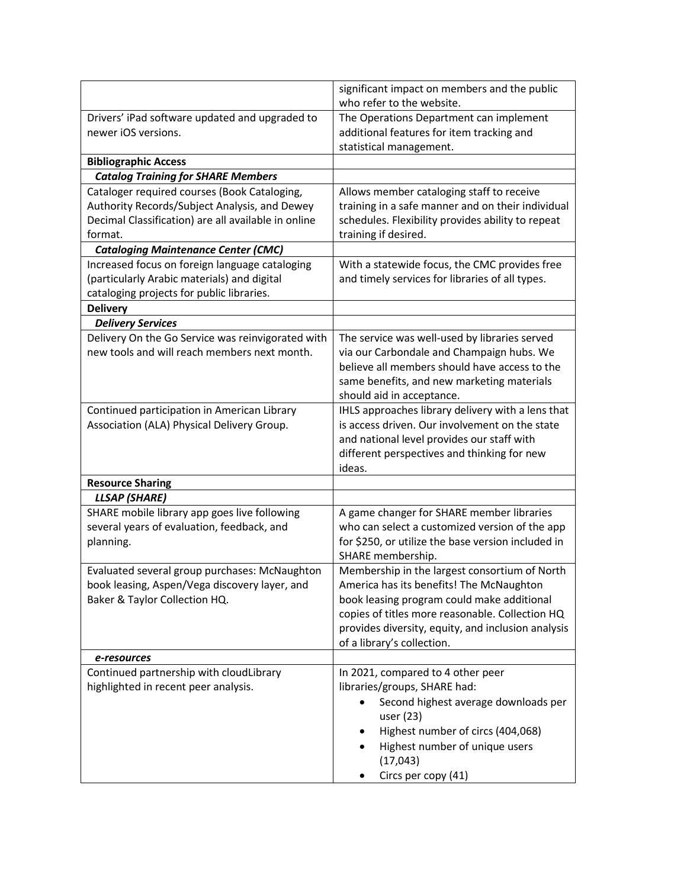|                                                                       | significant impact on members and the public<br>who refer to the website.                                       |
|-----------------------------------------------------------------------|-----------------------------------------------------------------------------------------------------------------|
| Drivers' iPad software updated and upgraded to<br>newer iOS versions. | The Operations Department can implement<br>additional features for item tracking and<br>statistical management. |
| <b>Bibliographic Access</b>                                           |                                                                                                                 |
| <b>Catalog Training for SHARE Members</b>                             |                                                                                                                 |
| Cataloger required courses (Book Cataloging,                          | Allows member cataloging staff to receive                                                                       |
| Authority Records/Subject Analysis, and Dewey                         | training in a safe manner and on their individual                                                               |
| Decimal Classification) are all available in online                   | schedules. Flexibility provides ability to repeat                                                               |
| format.                                                               | training if desired.                                                                                            |
| <b>Cataloging Maintenance Center (CMC)</b>                            |                                                                                                                 |
| Increased focus on foreign language cataloging                        | With a statewide focus, the CMC provides free                                                                   |
| (particularly Arabic materials) and digital                           | and timely services for libraries of all types.                                                                 |
| cataloging projects for public libraries.                             |                                                                                                                 |
| <b>Delivery</b><br><b>Delivery Services</b>                           |                                                                                                                 |
| Delivery On the Go Service was reinvigorated with                     | The service was well-used by libraries served                                                                   |
| new tools and will reach members next month.                          | via our Carbondale and Champaign hubs. We                                                                       |
|                                                                       | believe all members should have access to the                                                                   |
|                                                                       | same benefits, and new marketing materials                                                                      |
|                                                                       | should aid in acceptance.                                                                                       |
| Continued participation in American Library                           | IHLS approaches library delivery with a lens that                                                               |
| Association (ALA) Physical Delivery Group.                            | is access driven. Our involvement on the state                                                                  |
|                                                                       | and national level provides our staff with                                                                      |
|                                                                       | different perspectives and thinking for new                                                                     |
|                                                                       | ideas.                                                                                                          |
| <b>Resource Sharing</b>                                               |                                                                                                                 |
| <b>LLSAP</b> (SHARE)                                                  |                                                                                                                 |
| SHARE mobile library app goes live following                          | A game changer for SHARE member libraries                                                                       |
| several years of evaluation, feedback, and                            | who can select a customized version of the app                                                                  |
| planning.                                                             | for \$250, or utilize the base version included in<br>SHARE membership.                                         |
| Evaluated several group purchases: McNaughton                         | Membership in the largest consortium of North                                                                   |
| book leasing, Aspen/Vega discovery layer, and                         | America has its benefits! The McNaughton                                                                        |
| Baker & Taylor Collection HQ.                                         | book leasing program could make additional                                                                      |
|                                                                       | copies of titles more reasonable. Collection HQ                                                                 |
|                                                                       | provides diversity, equity, and inclusion analysis                                                              |
|                                                                       | of a library's collection.                                                                                      |
| e-resources                                                           |                                                                                                                 |
| Continued partnership with cloudLibrary                               | In 2021, compared to 4 other peer                                                                               |
| highlighted in recent peer analysis.                                  | libraries/groups, SHARE had:                                                                                    |
|                                                                       | Second highest average downloads per                                                                            |
|                                                                       | user (23)                                                                                                       |
|                                                                       | Highest number of circs (404,068)                                                                               |
|                                                                       | Highest number of unique users                                                                                  |
|                                                                       | (17, 043)                                                                                                       |
|                                                                       | Circs per copy (41)                                                                                             |